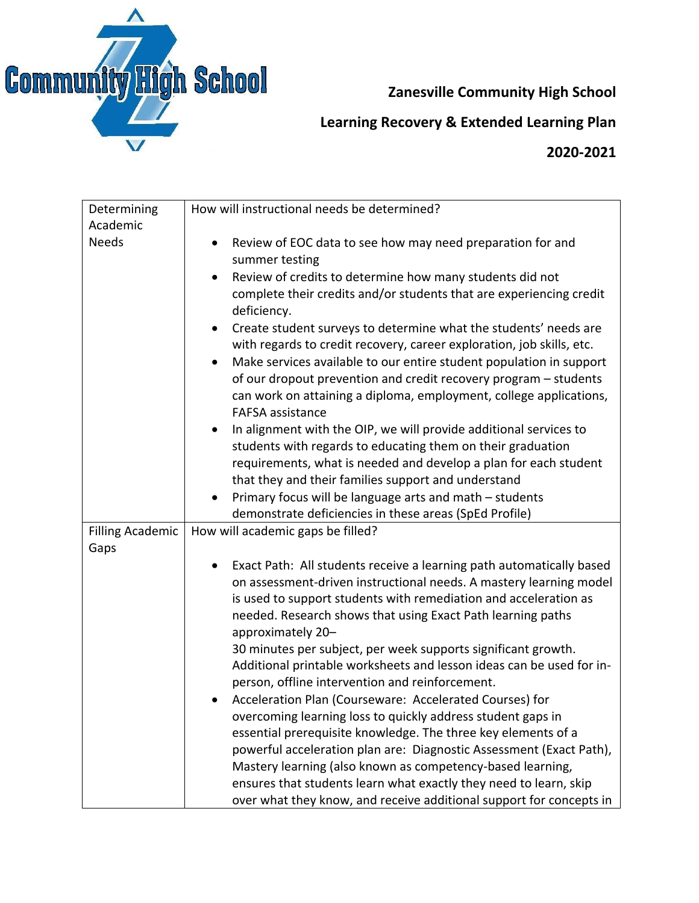

## **Zanesville Community High School**

## **Learning Recovery & Extended Learning Plan**

## **2020-2021**

| Determining              | How will instructional needs be determined?                                                                                     |
|--------------------------|---------------------------------------------------------------------------------------------------------------------------------|
| Academic<br><b>Needs</b> | Review of EOC data to see how may need preparation for and                                                                      |
|                          | ٠<br>summer testing                                                                                                             |
|                          | Review of credits to determine how many students did not                                                                        |
|                          | complete their credits and/or students that are experiencing credit                                                             |
|                          | deficiency.                                                                                                                     |
|                          | Create student surveys to determine what the students' needs are<br>$\bullet$                                                   |
|                          | with regards to credit recovery, career exploration, job skills, etc.                                                           |
|                          | Make services available to our entire student population in support<br>$\bullet$                                                |
|                          | of our dropout prevention and credit recovery program - students                                                                |
|                          | can work on attaining a diploma, employment, college applications,                                                              |
|                          | <b>FAFSA</b> assistance                                                                                                         |
|                          | In alignment with the OIP, we will provide additional services to<br>$\bullet$                                                  |
|                          | students with regards to educating them on their graduation                                                                     |
|                          | requirements, what is needed and develop a plan for each student                                                                |
|                          | that they and their families support and understand                                                                             |
|                          | Primary focus will be language arts and math - students                                                                         |
|                          | demonstrate deficiencies in these areas (SpEd Profile)                                                                          |
| <b>Filling Academic</b>  | How will academic gaps be filled?                                                                                               |
| Gaps                     |                                                                                                                                 |
|                          | Exact Path: All students receive a learning path automatically based                                                            |
|                          | on assessment-driven instructional needs. A mastery learning model                                                              |
|                          | is used to support students with remediation and acceleration as<br>needed. Research shows that using Exact Path learning paths |
|                          | approximately 20-                                                                                                               |
|                          | 30 minutes per subject, per week supports significant growth.                                                                   |
|                          | Additional printable worksheets and lesson ideas can be used for in-                                                            |
|                          | person, offline intervention and reinforcement.                                                                                 |
|                          | Acceleration Plan (Courseware: Accelerated Courses) for                                                                         |
|                          | overcoming learning loss to quickly address student gaps in                                                                     |
|                          | essential prerequisite knowledge. The three key elements of a                                                                   |
|                          | powerful acceleration plan are: Diagnostic Assessment (Exact Path),                                                             |
|                          | Mastery learning (also known as competency-based learning,                                                                      |
|                          | ensures that students learn what exactly they need to learn, skip                                                               |
|                          | over what they know, and receive additional support for concepts in                                                             |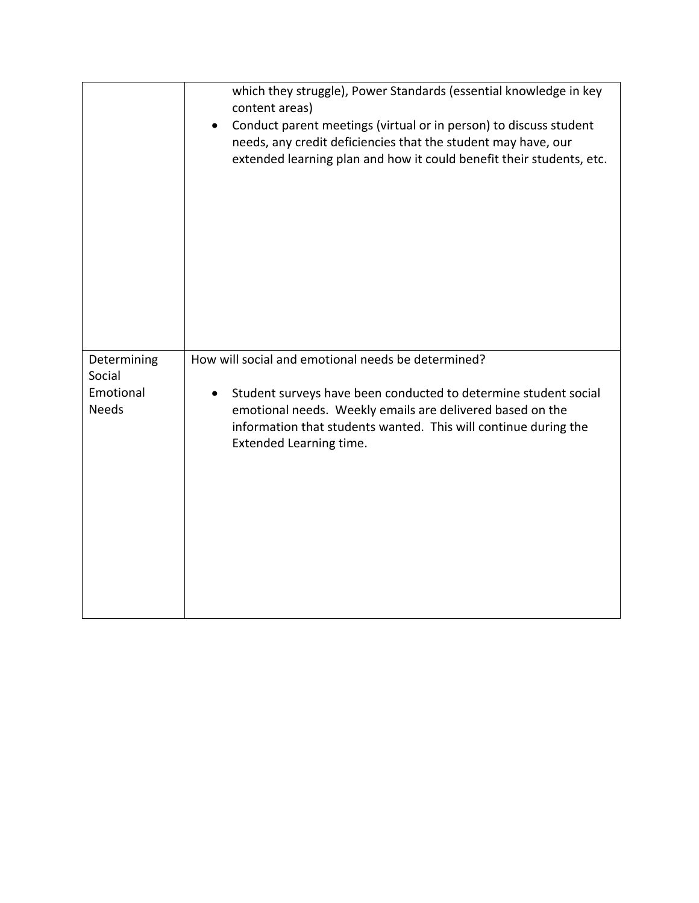|                           | which they struggle), Power Standards (essential knowledge in key<br>content areas)                                                                                                                                                            |
|---------------------------|------------------------------------------------------------------------------------------------------------------------------------------------------------------------------------------------------------------------------------------------|
|                           | Conduct parent meetings (virtual or in person) to discuss student<br>$\bullet$<br>needs, any credit deficiencies that the student may have, our                                                                                                |
|                           | extended learning plan and how it could benefit their students, etc.                                                                                                                                                                           |
|                           |                                                                                                                                                                                                                                                |
| Determining<br>Social     | How will social and emotional needs be determined?                                                                                                                                                                                             |
| Emotional<br><b>Needs</b> | Student surveys have been conducted to determine student social<br>$\bullet$<br>emotional needs. Weekly emails are delivered based on the<br>information that students wanted. This will continue during the<br><b>Extended Learning time.</b> |
|                           |                                                                                                                                                                                                                                                |